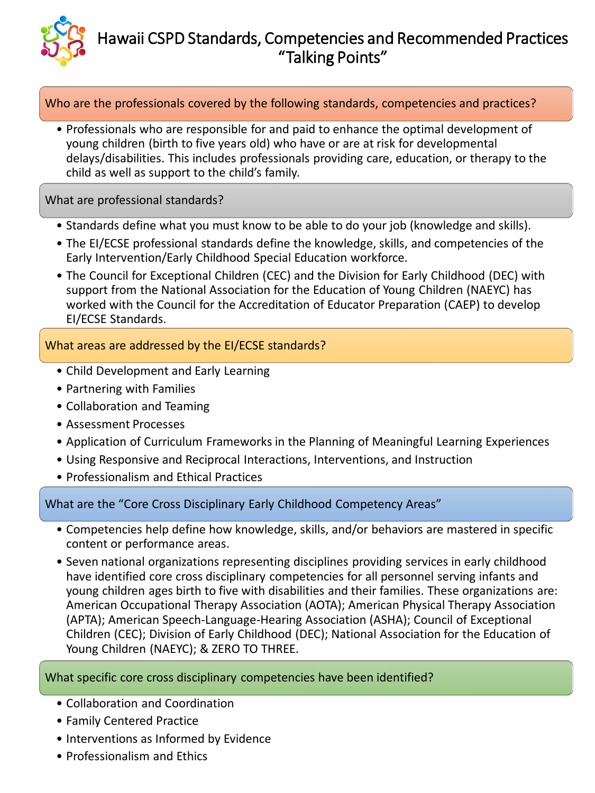

## Hawaii CSPD Standards, Competencies and Recommended Practices "Talking Points"

Who are the professionals covered by the following standards, competencies and practices?

• Professionals who are responsible for and paid to enhance the optimal development of young children (birth to five years old) who have or are at risk for developmental delays/disabilities. This includes professionals providing care, education, or therapy to the child as well as support to the child's family.

What are professional standards?

- Standards define what you must know to be able to do your job (knowledge and skills).
- The EI/ECSE professional standards define the knowledge, skills, and competencies of the Early Intervention/Early Childhood Special Education workforce.
- The Council for Exceptional Children (CEC) and the Division for Early Childhood (DEC) with support from the National Association for the Education of Young Children (NAEYC) has worked with the Council for the Accreditation of Educator Preparation (CAEP) to develop EI/ECSE Standards.

What areas are addressed by the EI/ECSE standards?

- Child Development and Early Learning
- Partnering with Families
- Collaboration and Teaming
- Assessment Processes
- Application of Curriculum Frameworks in the Planning of Meaningful Learning Experiences
- Using Responsive and Reciprocal Interactions, Interventions, and Instruction
- Professionalism and Ethical Practices

What are the "Core Cross Disciplinary Early Childhood Competency Areas"

- Competencies help define how knowledge, skills, and/or behaviors are mastered in specific content or performance areas.
- Seven national organizations representing disciplines providing services in early childhood have identified core cross disciplinary competencies for all personnel serving infants and young children ages birth to five with disabilities and their families. These organizations are: American Occupational Therapy Association (AOTA); American Physical Therapy Association (APTA); American Speech-Language-Hearing Association (ASHA); Council of Exceptional Children (CEC); Division of Early Childhood (DEC); National Association for the Education of Young Children (NAEYC); & ZERO TO THREE.

What specific core cross disciplinary competencies have been identified?

- Collaboration and Coordination
- Family Centered Practice
- Interventions as Informed by Evidence
- Professionalism and Ethics